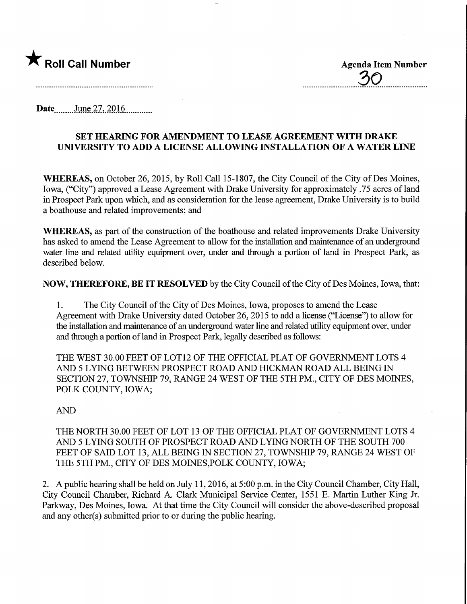

30

Date June 27, 2016

## SET HEARING FOR AMENDMENT TO LEASE AGREEMENT WITH DRAKE UNIVERSITY TO ADD A LICENSE ALLOWING INSTALLATION OF A WATER LINE

WHEREAS, on October 26, 2015, by Roll Call 15-1807, the City Council of the City of Des Moines, Iowa, ("City") approved a Lease Agreement with Drake University for approximately .75 acres of land in Prospect Park upon which, and as consideration for the lease agreement, Drake University is to build a boathouse and related improvements; and

WHEREAS, as part of the construction of the boathouse and related improvements Drake University has asked to amend the Lease Agreement to allow for the installation and maintenance of an underground water line and related utility equipment over, under and through a portion of land in Prospect Park, as described below.

NOW, THEREFORE, BE IT RESOLVED by the City Council of the City of Des Moines, Iowa, that:

1. The City Council of the City of Des Moines, Iowa, proposes to amend the Lease Agreement with Drake University dated October 26, 2015 to add a license ("License") to allow for the installation and maintenance of an underground water line and related utility equipment over, under and through a portion of land in Prospect Park, legally described as follows:

THE WEST 30.00 FEET OF LOT12 OF THE OFFICIAL PLAT OF GOVERNMENT LOTS 4 AND 5 LYING BETWEEN PROSPECT ROAD AND HICKMAN ROAD ALL BEWG IN SECTION 27, TOWNSHIP 79, RANGE 24 WEST OF THE 5TH PM., CITY OF DES MOINES, POLK COUNTY, IOWA;

## AND

THE NORTH 30.00 FEET OF LOT 13 OF THE OFFICIAL PLAT OF GOVERNMENT LOTS 4 AND 5 LYING SOUTH OF PROSPECT ROAD AND LYWG NORTH OF THE SOUTH 700 FEET OF SAID LOT 13, ALL BEING IN SECTION 27, TOWNSHIP 79, RANGE 24 WEST OF THE 5TH PM., CITY OF DES MOINES,POLK COUNTY, IOWA;

2. A public hearing shall be held on July 11,2016, at 5:00 p.m. in the City Council Chamber, City Hall, City Council Chamber, Richard A. Clark Municipal Service Center, 1551 E. Martin Luther King Jr. Parkway, Des Moines, Iowa. At that time the City Council will consider the above-described proposal and any other(s) submitted prior to or during the public hearing.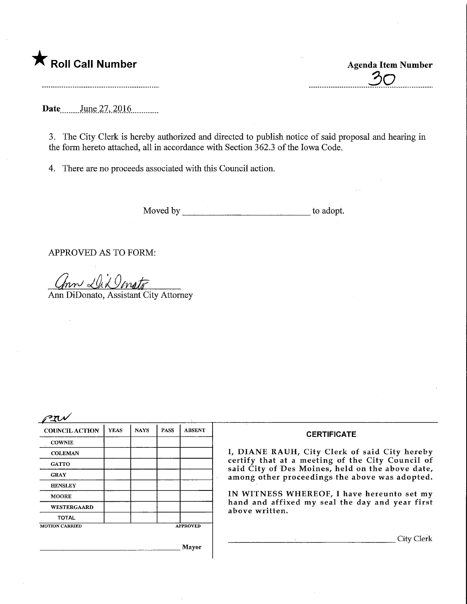

 $\overline{30}$ 

Date June 27, 2016

3. The City Clerk is hereby authorized and directed to publish notice of said proposal and hearing in the form hereto attached, all in accordance with Section 362.3 of the Iowa Code.

4. There are no proceeds associated with this Council action.

Moved by the summary control of the adopt.

APPROVED AS TO FORM:

 $\ln \sim \sqrt{\lambda \lambda}$  onstr

Ann DiDonato, Assistant City Attorney

 $\mathscr{P}$ T $\mathscr{N}$ 

| <b>COUNCIL ACTION</b> | <b>YEAS</b> | <b>NAYS</b> | <b>PASS</b>     | <b>ABSENT</b> |  |
|-----------------------|-------------|-------------|-----------------|---------------|--|
| <b>COWNIE</b>         |             |             |                 |               |  |
| <b>COLEMAN</b>        |             |             |                 |               |  |
| <b>GATTO</b>          |             |             |                 |               |  |
| <b>GRAY</b>           |             |             |                 |               |  |
| <b>HENSLEY</b>        |             |             |                 |               |  |
| <b>MOORE</b>          |             |             |                 |               |  |
| <b>WESTERGAARD</b>    |             |             |                 |               |  |
| <b>TOTAL</b>          |             |             |                 |               |  |
| <b>MOTION CARRIED</b> |             |             | <b>APPROVED</b> |               |  |
|                       |             | ò.          | <b>Mayor</b>    |               |  |

## **CERTIFICATE**

I, DIANE RAUH, City Clerk of said City hereby certify that at a meeting of the City Council of said City of Des Moines, held on the above date, among other proceedings the above was adopted.

IN WITNESS WHEREOF, I have hereunto set my hand and affixed my seal the day and year first above written.

. City Clerk